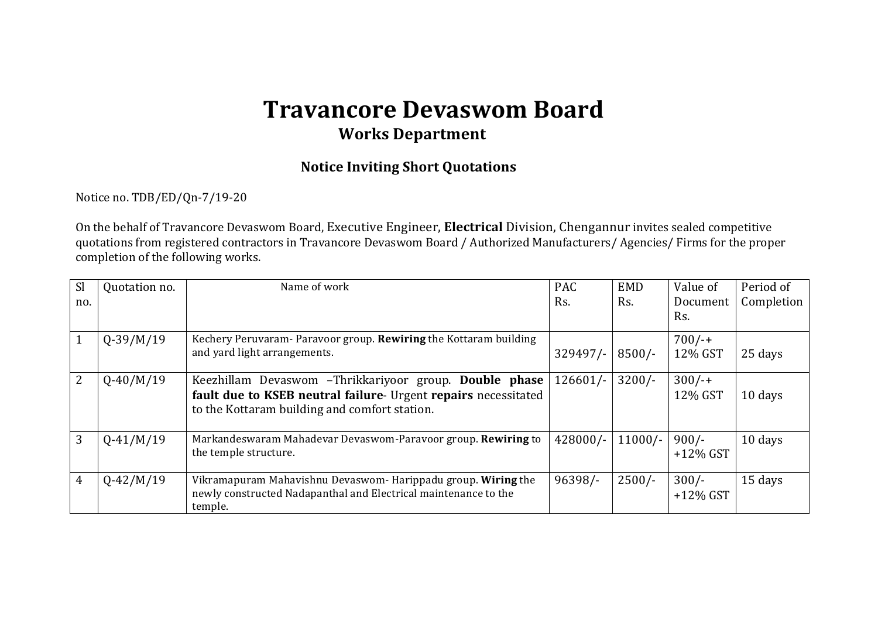## **Travancore Devaswom Board Works Department**

## **Notice Inviting Short Quotations**

Notice no. TDB/ED/Qn-7/19-20

On the behalf of Travancore Devaswom Board, Executive Engineer, **Electrical** Division, Chengannur invites sealed competitive quotations from registered contractors in Travancore Devaswom Board / Authorized Manufacturers/ Agencies/ Firms for the proper completion of the following works.

| <sub>Sl</sub><br>no. | Quotation no. | Name of work                                                                                                                                                              | <b>PAC</b><br>Rs. | <b>EMD</b><br>Rs. | Value of<br>Document<br>Rs. | Period of<br>Completion |
|----------------------|---------------|---------------------------------------------------------------------------------------------------------------------------------------------------------------------------|-------------------|-------------------|-----------------------------|-------------------------|
|                      | $Q-39/M/19$   | Kechery Peruvaram- Paravoor group. Rewiring the Kottaram building<br>and yard light arrangements.                                                                         | $329497/-$        | $8500/-$          | $700/-$<br>12% GST          | 25 days                 |
| 2                    | $Q-40/M/19$   | Keezhillam Devaswom -Thrikkariyoor group. Double phase<br>fault due to KSEB neutral failure- Urgent repairs necessitated<br>to the Kottaram building and comfort station. | $126601/-$        | $3200/-$          | $300/-$<br>12% GST          | 10 days                 |
| 3                    | $Q-41/M/19$   | Markandeswaram Mahadevar Devaswom-Paravoor group. Rewiring to<br>the temple structure.                                                                                    | 428000/-          | $11000/-$         | $900/-$<br>$+12\%$ GST      | 10 days                 |
| 4                    | $Q-42/M/19$   | Vikramapuram Mahavishnu Devaswom- Harippadu group. Wiring the<br>newly constructed Nadapanthal and Electrical maintenance to the<br>temple.                               | 96398/-           | $2500/-$          | $300/-$<br>$+12\%$ GST      | 15 days                 |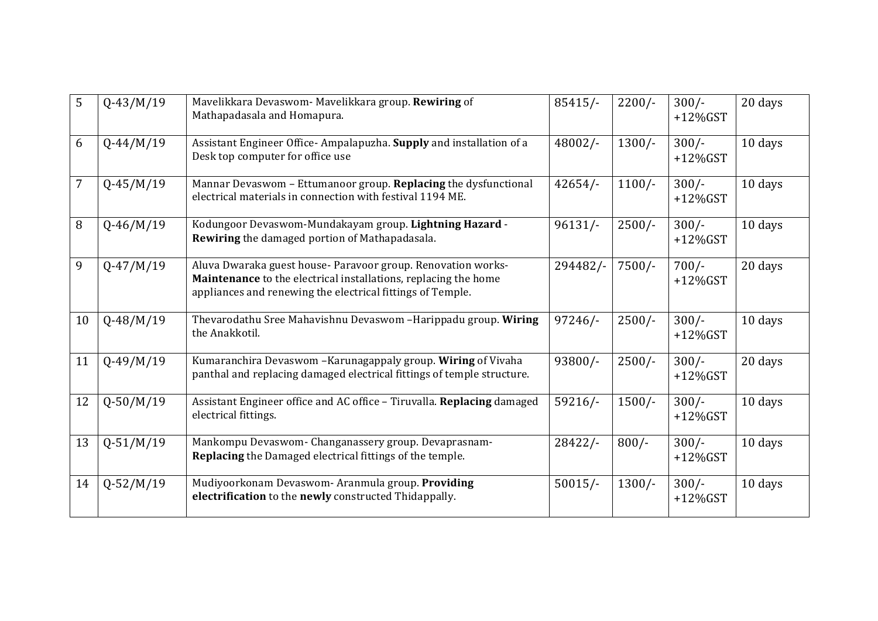| 5  | $Q-43/M/19$   | Mavelikkara Devaswom- Mavelikkara group. Rewiring of<br>Mathapadasala and Homapura.                                                                                                           | $85415/-$  | $2200/-$ | $300/-$<br>$+12\%$ GST | 20 days |
|----|---------------|-----------------------------------------------------------------------------------------------------------------------------------------------------------------------------------------------|------------|----------|------------------------|---------|
| 6  | $Q-44/M/19$   | Assistant Engineer Office-Ampalapuzha. Supply and installation of a<br>Desk top computer for office use                                                                                       | 48002/-    | $1300/-$ | $300/-$<br>$+12\%$ GST | 10 days |
| 7  | $Q-45/M/19$   | Mannar Devaswom - Ettumanoor group. Replacing the dysfunctional<br>electrical materials in connection with festival 1194 ME.                                                                  | 42654/     | $1100/-$ | $300/-$<br>$+12\%$ GST | 10 days |
| 8  | $Q-46/M/19$   | Kodungoor Devaswom-Mundakayam group. Lightning Hazard -<br>Rewiring the damaged portion of Mathapadasala.                                                                                     | $96131/-$  | $2500/-$ | $300/-$<br>$+12\%$ GST | 10 days |
| 9  | $Q-47/M/19$   | Aluva Dwaraka guest house- Paravoor group. Renovation works-<br>Maintenance to the electrical installations, replacing the home<br>appliances and renewing the electrical fittings of Temple. | 294482/-   | $7500/-$ | $700/-$<br>$+12\%$ GST | 20 days |
| 10 | $Q-48/M/19$   | Thevarodathu Sree Mahavishnu Devaswom -Harippadu group. Wiring<br>the Anakkotil.                                                                                                              | $97246/-$  | $2500/-$ | $300/-$<br>$+12\%$ GST | 10 days |
| 11 | $Q - 49/M/19$ | Kumaranchira Devaswom - Karunagappaly group. Wiring of Vivaha<br>panthal and replacing damaged electrical fittings of temple structure.                                                       | $93800/-$  | $2500/-$ | $300/-$<br>$+12\%$ GST | 20 days |
| 12 | $Q - 50/M/19$ | Assistant Engineer office and AC office - Tiruvalla. Replacing damaged<br>electrical fittings.                                                                                                | $59216/$ - | $1500/-$ | $300/-$<br>$+12\%$ GST | 10 days |
| 13 | $Q - 51/M/19$ | Mankompu Devaswom- Changanassery group. Devaprasnam-<br><b>Replacing</b> the Damaged electrical fittings of the temple.                                                                       | $28422/-$  | $800/-$  | $300/-$<br>$+12\%$ GST | 10 days |
| 14 | $Q - 52/M/19$ | Mudiyoorkonam Devaswom- Aranmula group. Providing<br>electrification to the newly constructed Thidappally.                                                                                    | $50015/-$  | $1300/-$ | $300/-$<br>$+12\%$ GST | 10 days |